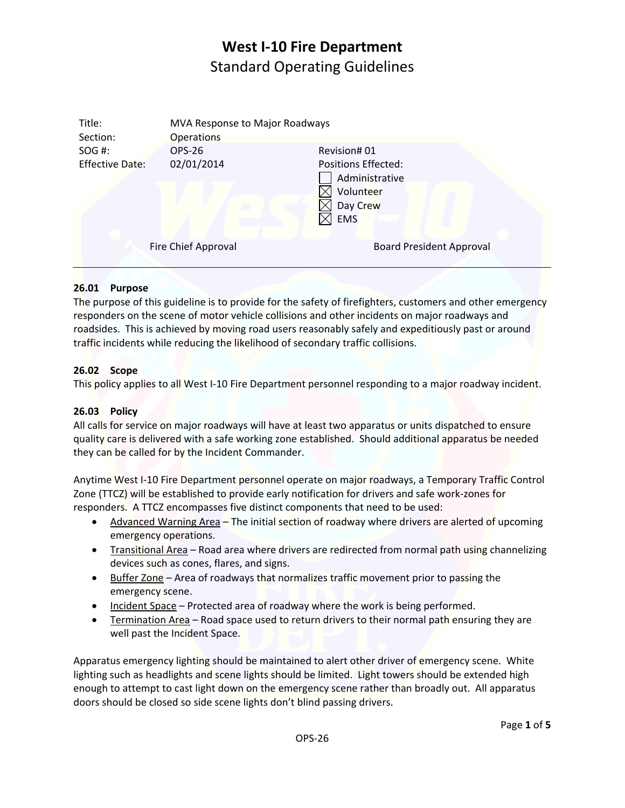| Title:<br>Section:     | MVA Response to Major Roadways<br><b>Operations</b> |                                                                              |
|------------------------|-----------------------------------------------------|------------------------------------------------------------------------------|
| SOG #:                 | <b>OPS-26</b>                                       | Revision#01                                                                  |
| <b>Effective Date:</b> | 02/01/2014                                          | Positions Effected:<br>Administrative<br>Volunteer<br>Day Crew<br><b>EMS</b> |
|                        |                                                     |                                                                              |
|                        | Fire Chief Approval                                 | <b>Board President Approval</b>                                              |
|                        |                                                     |                                                                              |

### **26.01 Purpose**

The purpose of this guideline is to provide for the safety of firefighters, customers and other emergency responders on the scene of motor vehicle collisions and other incidents on major roadways and roadsides. This is achieved by moving road users reasonably safely and expeditiously past or around traffic incidents while reducing the likelihood of secondary traffic collisions.

### **26.02 Scope**

This policy applies to all West I‐10 Fire Department personnel responding to a major roadway incident.

### **26.03 Policy**

All calls for service on major roadways will have at least two apparatus or units dispatched to ensure quality care is delivered with a safe working zone established. Should additional apparatus be needed they can be called for by the Incident Commander.

Anytime West I‐10 Fire Department personnel operate on major roadways, a Temporary Traffic Control Zone (TTCZ) will be established to provide early notification for drivers and safe work‐zones for responders. A TTCZ encompasses five distinct components that need to be used:

- Advanced Warning Area The initial section of roadway where drivers are alerted of upcoming emergency operations.
- Transitional Area Road area where drivers are redirected from normal path using channelizing devices such as cones, flares, and signs.
- Buffer Zone Area of roadways that normalizes traffic movement prior to passing the emergency scene.
- Incident Space Protected area of roadway where the work is being performed.
- **•** Termination Area Road space used to return drivers to their normal path ensuring they are well past the Incident Space.

Apparatus emergency lighting should be maintained to alert other driver of emergency scene. White lighting such as headlights and scene lights should be limited. Light towers should be extended high enough to attempt to cast light down on the emergency scene rather than broadly out. All apparatus doors should be closed so side scene lights don't blind passing drivers.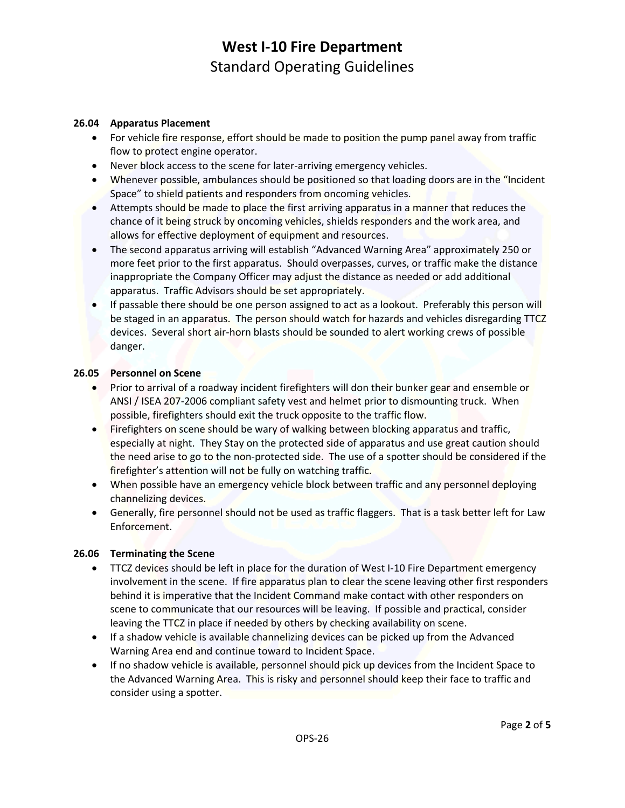#### **26.04 Apparatus Placement**

- For vehicle fire response, effort should be made to position the pump panel away from traffic flow to protect engine operator.
- Never block access to the scene for later-arriving emergency vehicles.
- Whenever possible, ambulances should be positioned so that loading doors are in the "Incident Space" to shield patients and responders from oncoming vehicles.
- Attempts should be made to place the first arriving apparatus in a manner that reduces the chance of it being struck by oncoming vehicles, shields responders and the work area, and allows for effective deployment of equipment and resources.
- The second apparatus arriving will establish "Advanced Warning Area" approximately 250 or more feet prior to the first apparatus. Should overpasses, curves, or traffic make the distance inappropriate the Company Officer may adjust the distance as needed or add additional apparatus. Traffic Advisors should be set appropriately.
- If passable there should be one person assigned to act as a lookout. Preferably this person will be staged in an apparatus. The person should watch for hazards and vehicles disregarding TTCZ devices. Several short air‐horn blasts should be sounded to alert working crews of possible danger.

#### **26.05 Personnel on Scene**

- Prior to arrival of a roadway incident firefighters will don their bunker gear and ensemble or ANSI / ISEA 207‐2006 compliant safety vest and helmet prior to dismounting truck. When possible, firefighters should exit the truck opposite to the traffic flow.
- Firefighters on scene should be wary of walking between blocking apparatus and traffic, especially at night. They Stay on the protected side of apparatus and use great caution should the need arise to go to the non‐protected side. The use of a spotter should be considered if the firefighter's attention will not be fully on watching traffic.
- When possible have an emergency vehicle block between traffic and any personnel deploying channelizing devices.
- Generally, fire personnel should not be used as traffic flaggers. That is a task better left for Law Enforcement.

### **26.06 Terminating the Scene**

- TTCZ devices should be left in place for the duration of West I-10 Fire Department emergency involvement in the scene. If fire apparatus plan to clear the scene leaving other first responders behind it is imperative that the Incident Command make contact with other responders on scene to communicate that our resources will be leaving. If possible and practical, consider leaving the TTCZ in place if needed by others by checking availability on scene.
- If a shadow vehicle is available channelizing devices can be picked up from the Advanced Warning Area end and continue toward to Incident Space.
- If no shadow vehicle is available, personnel should pick up devices from the Incident Space to the Advanced Warning Area. This is risky and personnel should keep their face to traffic and consider using a spotter.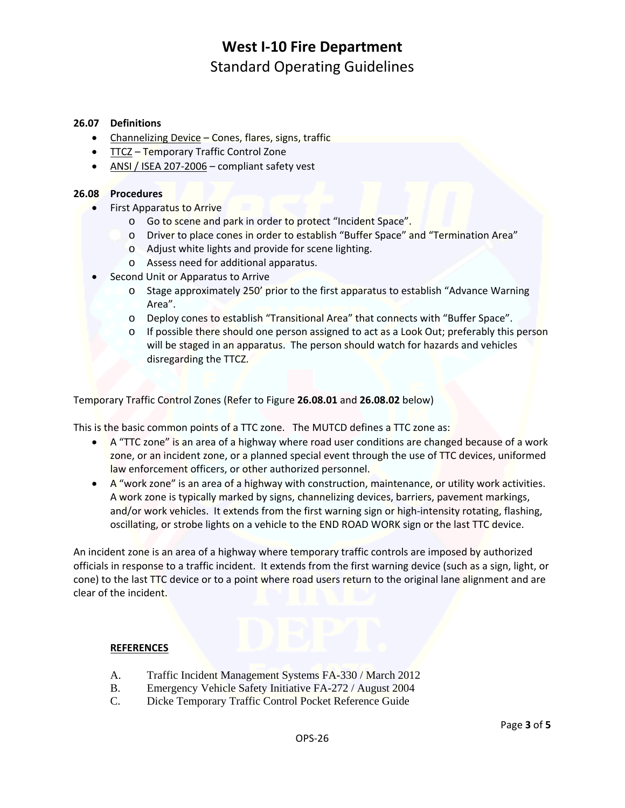#### **26.07 Definitions**

- Channelizing Device Cones, flares, signs, traffic
- TTCZ Temporary Traffic Control Zone
- ANSI / ISEA 207-2006 compliant safety vest

#### **26.08 Procedures**

- **•** First Apparatus to Arrive
	- o Go to scene and park in order to protect "Incident Space".
	- o Driver to place cones in order to establish "Buffer Space" and "Termination Area"
	- o Adjust white lights and provide for scene lighting.
	- o Assess need for additional apparatus.
- Second Unit or Apparatus to Arrive
	- o Stage approximately 250' prior to the first apparatus to establish "Advance Warning Area".
	- o Deploy cones to establish "Transitional Area" that connects with "Buffer Space".
	- o If possible there should one person assigned to act as a Look Out; preferably this person will be staged in an apparatus. The person should watch for hazards and vehicles disregarding the TTCZ.

Temporary Traffic Control Zones (Refer to Figure **26.08.01** and **26.08.02** below)

This is the basic common points of a TTC zone. The MUTCD defines a TTC zone as:

- A "TTC zone" is an area of a highway where road user conditions are changed because of a work zone, or an incident zone, or a planned special event through the use of TTC devices, uniformed law enforcement officers, or other authorized personnel.
- A "work zone" is an area of a highway with construction, maintenance, or utility work activities. A work zone is typically marked by signs, channelizing devices, barriers, pavement markings, and/or work vehicles. It extends from the first warning sign or high-intensity rotating, flashing, oscillating, or strobe lights on a vehicle to the END ROAD WORK sign or the last TTC device.

An incident zone is an area of a highway where temporary traffic controls are imposed by authorized officials in response to a traffic incident. It extends from the first warning device (such as a sign, light, or cone) to the last TTC device or to a point where road users return to the original lane alignment and are clear of the incident.

#### **REFERENCES**

- A. Traffic Incident Management Systems FA-330 / March 2012
- B. Emergency Vehicle Safety Initiative FA-272 / August 2004
- C. Dicke Temporary Traffic Control Pocket Reference Guide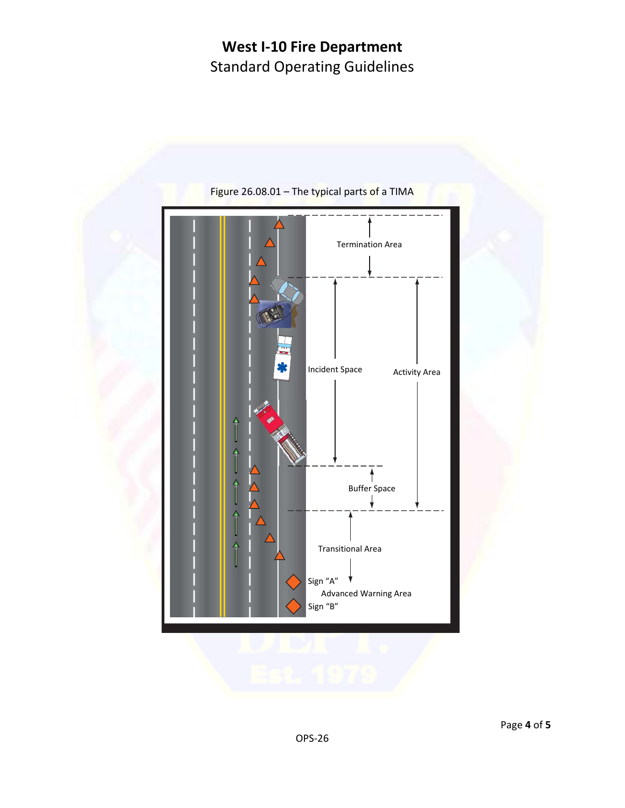